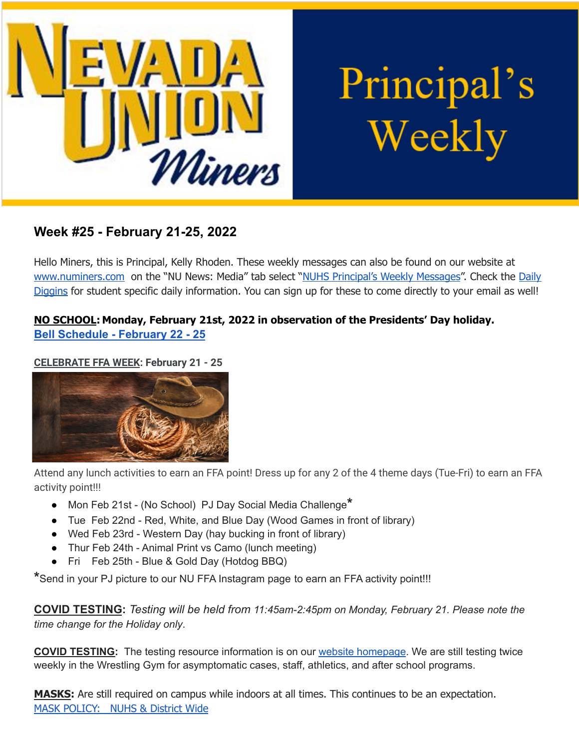

# Principal's Weekly

# **Week #25 - February 21-25, 2022**

Hello Miners, this is Principal, Kelly Rhoden. These weekly messages can also be found on our website at [www.numiners.com](http://www.numiners.com) on the "NU News: Media" tab select "NUHS [Principal's](https://nevadaunion.njuhsd.com/NU-NewsMedia/NUHS-Principals-Weekly-Messages/index.html) Weekly Messages". Check the [Daily](https://nevadaunion.njuhsd.com/NU-NewsMedia/Daily-Diggins-Bulletin/index.html) [Diggins](https://nevadaunion.njuhsd.com/NU-NewsMedia/Daily-Diggins-Bulletin/index.html) for student specific daily information. You can sign up for these to come directly to your email as well!

# **NO SCHOOL: Monday, February 21st, 2022 in observation of the Presidents' Day holiday. [Bell Schedule - February 22 - 25](https://nevadaunion.njuhsd.com/documents/Bell%20Schedules/21.22-Presidents-Week-2-Feb-21-25.pdf)**

# **CELEBRATE FFA WEEK: February 21 - 25**



Attend any lunch activities to earn an FFA point! Dress up for any 2 of the 4 theme days (Tue-Fri) to earn an FFA activity point!!!

- Mon Feb 21st (No School) PJ Day Social Media Challenge**\***
- Tue Feb 22nd Red, White, and Blue Day (Wood Games in front of library)
- Wed Feb 23rd Western Day (hay bucking in front of library)
- Thur Feb 24th Animal Print vs Camo (lunch meeting)
- Fri Feb 25th Blue & Gold Day (Hotdog BBQ)

**\***Send in your PJ picture to our NU FFA Instagram page to earn an FFA activity point!!!

**COVID TESTING:** *Testing will be held from 11:45am-2:45pm on Monday, February 21. Please note the time change for the Holiday only*.

**COVID TESTING:** The testing resource information is on our website [homepage](https://nevadaunion.njuhsd.com/index.html). We are still testing twice weekly in the Wrestling Gym for asymptomatic cases, staff, athletics, and after school programs.

**MASKS:** Are still required on campus while indoors at all times. This continues to be an expectation. MASK [POLICY:](https://nevadaunion.njuhsd.com/documents/Nevada%20Union%20HS/Information/Annual%20Forms/21.22.NUHS.MASK.RULES.pdf) NUHS & District Wide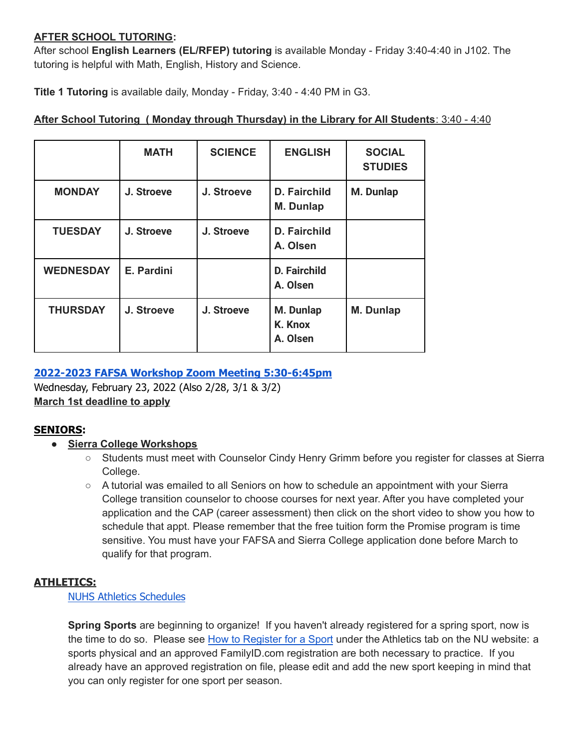#### **AFTER SCHOOL TUTORING:**

After school **English Learners (EL/RFEP) tutoring** is available Monday - Friday 3:40-4:40 in J102. The tutoring is helpful with Math, English, History and Science.

**Title 1 Tutoring** is available daily, Monday - Friday, 3:40 - 4:40 PM in G3.

# **MATH SCIENCE ENGLISH SOCIAL STUDIES MONDAY J. Stroeve J. Stroeve D. Fairchild M. Dunlap M. Dunlap TUESDAY J. Stroeve J. Stroeve D. Fairchild A. Olsen WEDNESDAY E. Pardini D. Fairchild A. Olsen THURSDAY J. Stroeve J. Stroeve M. Dunlap K. Knox A. Olsen M. Dunlap**

# **After School Tutoring ( Monday through Thursday) in the Library for All Students**: 3:40 - 4:40

# **2022-2023 FAFSA Workshop Zoom Meeting [5:30-6:45pm](https://nevadaunion.njuhsd.com/documents/Nevada%20Union%20HS/Counseling/22-23-FAFSA-Workshop-01.2022.pdf)**

Wednesday, February 23, 2022 (Also 2/28, 3/1 & 3/2) **March 1st deadline to apply**

# **SENIORS:**

# **● Sierra College [Workshops](https://nevadaunion.njuhsd.com/documents/Nevada%20Union%20HS/Counseling/NUHS-Class-of-2022-Sierra-College-Workshops-01.2022.pdf)**

- Students must meet with Counselor Cindy Henry Grimm before you register for classes at Sierra College.
- A tutorial was emailed to all Seniors on how to schedule an appointment with your Sierra College transition counselor to choose courses for next year. After you have completed your application and the CAP (career assessment) then click on the short video to show you how to schedule that appt. Please remember that the free tuition form the Promise program is time sensitive. You must have your FAFSA and Sierra College application done before March to qualify for that program.

# **ATHLETICS:**

# NUHS Athletics [Schedules](https://nevadaunion.njuhsd.com/Athletics/Sports-Calendar--Schedules/index.html)

**Spring Sports** are beginning to organize! If you haven't already registered for a spring sport, now is the time to do so. Please see How to [Register](https://nevadaunion.njuhsd.com/Athletics/How-to-Register-For-a-Sport/index.html) for a Sport under the Athletics tab on the NU website: a sports physical and an approved FamilyID.com registration are both necessary to practice. If you already have an approved registration on file, please edit and add the new sport keeping in mind that you can only register for one sport per season.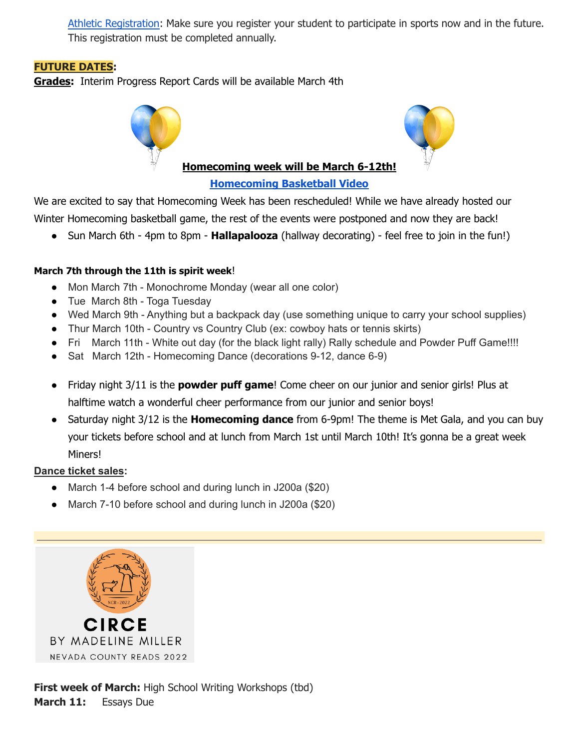Athletic [Registration:](https://nevadaunion.njuhsd.com/Athletics/How-to-Register-For-a-Sport/index.html) Make sure you register your student to participate in sports now and in the future. This registration must be completed annually.

# **FUTURE DATES:**

**Grades:** Interim Progress Report Cards will be available March 4th



#### **[Homecoming](https://youtu.be/gD1i5oLTsv0) Basketball Video**

We are excited to say that Homecoming Week has been rescheduled! While we have already hosted our Winter Homecoming basketball game, the rest of the events were postponed and now they are back!

● Sun March 6th - 4pm to 8pm - **Hallapalooza** (hallway decorating) - feel free to join in the fun!)

# **March 7th through the 11th is spirit week**!

- Mon March 7th Monochrome Monday (wear all one color)
- Tue March 8th Toga Tuesday
- Wed March 9th Anything but a backpack day (use something unique to carry your school supplies)
- Thur March 10th Country vs Country Club (ex: cowboy hats or tennis skirts)
- Fri March 11th White out day (for the black light rally) Rally schedule and Powder Puff Game!!!!
- Sat March 12th Homecoming Dance (decorations 9-12, dance 6-9)
- Friday night 3/11 is the **powder puff game**! Come cheer on our junior and senior girls! Plus at halftime watch a wonderful cheer performance from our junior and senior boys!
- Saturday night 3/12 is the **Homecoming dance** from 6-9pm! The theme is Met Gala, and you can buy your tickets before school and at lunch from March 1st until March 10th! It's gonna be a great week Miners!

# **Dance ticket sales:**

- March 1-4 before school and during lunch in J200a (\$20)
- March 7-10 before school and during lunch in J200a (\$20)



**First week of March:** High School Writing Workshops (tbd) **March 11:** Essays Due